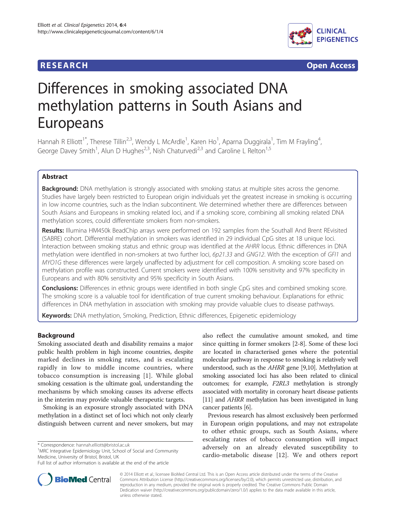



# Differences in smoking associated DNA methylation patterns in South Asians and Europeans

Hannah R Elliott<sup>1\*</sup>, Therese Tillin<sup>2,3</sup>, Wendy L McArdle<sup>1</sup>, Karen Ho<sup>1</sup>, Aparna Duggirala<sup>1</sup>, Tim M Frayling<sup>4</sup> , George Davey Smith<sup>1</sup>, Alun D Hughes<sup>2,3</sup>, Nish Chaturvedi<sup>2,3</sup> and Caroline L Relton<sup>1,5</sup>

# Abstract

Background: DNA methylation is strongly associated with smoking status at multiple sites across the genome. Studies have largely been restricted to European origin individuals yet the greatest increase in smoking is occurring in low income countries, such as the Indian subcontinent. We determined whether there are differences between South Asians and Europeans in smoking related loci, and if a smoking score, combining all smoking related DNA methylation scores, could differentiate smokers from non-smokers.

Results: Illumina HM450k BeadChip arrays were performed on 192 samples from the Southall And Brent REvisited (SABRE) cohort. Differential methylation in smokers was identified in 29 individual CpG sites at 18 unique loci. Interaction between smoking status and ethnic group was identified at the AHRR locus. Ethnic differences in DNA methylation were identified in non-smokers at two further loci, 6p21.33 and GNG12. With the exception of GFI1 and MYO1G these differences were largely unaffected by adjustment for cell composition. A smoking score based on methylation profile was constructed. Current smokers were identified with 100% sensitivity and 97% specificity in Europeans and with 80% sensitivity and 95% specificity in South Asians.

**Conclusions:** Differences in ethnic groups were identified in both single CpG sites and combined smoking score. The smoking score is a valuable tool for identification of true current smoking behaviour. Explanations for ethnic differences in DNA methylation in association with smoking may provide valuable clues to disease pathways.

Keywords: DNA methylation, Smoking, Prediction, Ethnic differences, Epigenetic epidemiology

# Background

Smoking associated death and disability remains a major public health problem in high income countries, despite marked declines in smoking rates, and is escalating rapidly in low to middle income countries, where tobacco consumption is increasing [[1\]](#page-8-0). While global smoking cessation is the ultimate goal, understanding the mechanisms by which smoking causes its adverse effects in the interim may provide valuable therapeutic targets.

Smoking is an exposure strongly associated with DNA methylation in a distinct set of loci which not only clearly distinguish between current and never smokers, but may

\* Correspondence: [hannah.elliott@bristol.ac.uk](mailto:hannah.elliott@bristol.ac.uk) <sup>1</sup>

<sup>1</sup>MRC Integrative Epidemiology Unit, School of Social and Community Medicine, University of Bristol, Bristol, UK

also reflect the cumulative amount smoked, and time since quitting in former smokers [\[2-8](#page-8-0)]. Some of these loci are located in characterised genes where the potential molecular pathway in response to smoking is relatively well understood, such as the AHRR gene [[9](#page-8-0)[,10\]](#page-9-0). Methylation at smoking associated loci has also been related to clinical outcomes; for example, F2RL3 methylation is strongly associated with mortality in coronary heart disease patients [[11](#page-9-0)] and *AHRR* methylation has been investigated in lung cancer patients [\[6\]](#page-8-0).

Previous research has almost exclusively been performed in European origin populations, and may not extrapolate to other ethnic groups, such as South Asians, where escalating rates of tobacco consumption will impact adversely on an already elevated susceptibility to cardio-metabolic disease [[12\]](#page-9-0). We and others report



© 2014 Elliott et al.; licensee BioMed Central Ltd. This is an Open Access article distributed under the terms of the Creative Commons Attribution License [\(http://creativecommons.org/licenses/by/2.0\)](http://creativecommons.org/licenses/by/2.0), which permits unrestricted use, distribution, and reproduction in any medium, provided the original work is properly credited. The Creative Commons Public Domain Dedication waiver [\(http://creativecommons.org/publicdomain/zero/1.0/](http://creativecommons.org/publicdomain/zero/1.0/)) applies to the data made available in this article, unless otherwise stated.

Full list of author information is available at the end of the article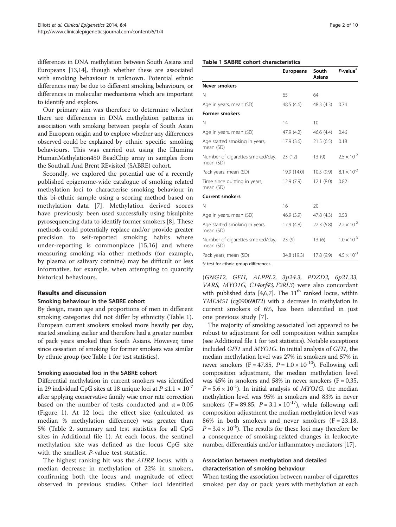differences in DNA methylation between South Asians and Europeans [\[13,14](#page-9-0)], though whether these are associated with smoking behaviour is unknown. Potential ethnic differences may be due to different smoking behaviours, or differences in molecular mechanisms which are important to identify and explore.

Our primary aim was therefore to determine whether there are differences in DNA methylation patterns in association with smoking between people of South Asian and European origin and to explore whether any differences observed could be explained by ethnic specific smoking behaviours. This was carried out using the Illumina HumanMethylation450 BeadChip array in samples from the Southall And Brent REvisited (SABRE) cohort.

Secondly, we explored the potential use of a recently published epigenome-wide catalogue of smoking related methylation loci to characterise smoking behaviour in this bi-ethnic sample using a scoring method based on methylation data [[7\]](#page-8-0). Methylation derived scores have previously been used successfully using bisulphite pyrosequencing data to identify former smokers [\[8\]](#page-8-0). These methods could potentially replace and/or provide greater precision to self-reported smoking habits where under-reporting is commonplace [\[15](#page-9-0),[16\]](#page-9-0) and where measuring smoking via other methods (for example, by plasma or salivary cotinine) may be difficult or less informative, for example, when attempting to quantify historical behaviours.

#### Results and discussion

#### Smoking behaviour in the SABRE cohort

By design, mean age and proportions of men in different smoking categories did not differ by ethnicity (Table 1). European current smokers smoked more heavily per day, started smoking earlier and therefore had a greater number of pack years smoked than South Asians. However, time since cessation of smoking for former smokers was similar by ethnic group (see Table 1 for test statistics).

# Smoking associated loci in the SABRE cohort

Differential methylation in current smokers was identified in 29 individual CpG sites at 18 unique loci at  $P \le 1.1 \times 10^{-7}$ after applying conservative family wise error rate correction based on the number of tests conducted and  $\alpha = 0.05$ (Figure [1](#page-2-0)). At 12 loci, the effect size (calculated as median % methylation difference) was greater than 5% (Table [2](#page-2-0), summary and test statistics for all CpG sites in Additional file [1](#page-8-0)). At each locus, the sentinel methylation site was defined as the locus CpG site with the smallest P-value test statistic.

The highest ranking hit was the AHRR locus, with a median decrease in methylation of 22% in smokers, confirming both the locus and magnitude of effect observed in previous studies. Other loci identified

### Table 1 SABRE cohort characteristics

|                                               | <b>Europeans</b> | South<br><b>Asians</b> | P-value <sup>a</sup>            |
|-----------------------------------------------|------------------|------------------------|---------------------------------|
| <b>Never smokers</b>                          |                  |                        |                                 |
| N                                             | 65               | 64                     |                                 |
| Age in years, mean (SD)                       | 48.5 (4.6)       | 48.3 (4.3)             | 0.74                            |
| <b>Former smokers</b>                         |                  |                        |                                 |
| N                                             | 14               | 10                     |                                 |
| Age in years, mean (SD)                       | 47.9 (4.2)       | 46.6 (4.4)             | 0.46                            |
| Age started smoking in years,<br>mean (SD)    | 17.9 (3.6)       | 21.5(6.5)              | 0.18                            |
| Number of cigarettes smoked/day,<br>mean (SD) | 23(12)           | 13(9)                  | $2.5 \times 10^{-2}$            |
| Pack years, mean (SD)                         | 19.9 (14.0)      | 10.5(9.9)              | $8.1 \times 10^{-2}$            |
| Time since quitting in years,<br>mean (SD)    | 12.9 (7.9)       | 12.1(8.0)              | 0.82                            |
| <b>Current smokers</b>                        |                  |                        |                                 |
| N                                             | 16               | 20                     |                                 |
| Age in years, mean (SD)                       | 46.9 (3.9)       | 47.8 (4.3)             | 0.53                            |
| Age started smoking in years,<br>mean (SD)    | 17.9 (4.8)       | 22.3(5.8)              | $2.2 \times 10^{-2}$            |
| Number of cigarettes smoked/day,<br>mean (SD) | 23(9)            | 13(6)                  | $1.0 \times 10^{-3}$            |
| Pack years, mean (SD)                         | 34.8 (19.3)      |                        | 17.8 (9.9) $4.5 \times 10^{-3}$ |

<sup>a</sup>t-test for ethnic group differences.

(GNG12, GFI1, ALPPL2, 3p24.3, PDZD2, 6p21.33, VARS, MYO1G, C14orf43, F2RL3) were also concordant with published data [\[4,6,7\]](#page-8-0). The  $11<sup>th</sup>$  ranked locus, within TMEM51 (cg09069072) with a decrease in methylation in current smokers of 6%, has been identified in just one previous study [[7\]](#page-8-0).

The majority of smoking associated loci appeared to be robust to adjustment for cell composition within samples (see Additional file [1](#page-8-0) for test statistics). Notable exceptions included GFI1 and MYO1G. In initial analysis of GFI1, the median methylation level was 27% in smokers and 57% in never smokers (F = 47.85,  $P = 1.0 \times 10^{-10}$ ). Following cell composition adjustment, the median methylation level was 45% in smokers and 58% in never smokers ( $F = 0.35$ ,  $P = 5.6 \times 10^{-1}$ ). In initial analysis of *MYO1G*, the median methylation level was 95% in smokers and 83% in never smokers (F = 89.85,  $P = 3.1 \times 10^{-17}$ ), while following cell composition adjustment the median methylation level was 86% in both smokers and never smokers  $(F = 23.18,$  $P = 3.4 \times 10^{-6}$ ). The results for these loci may therefore be a consequence of smoking-related changes in leukocyte number, differentials and/or inflammatory mediators [\[17\]](#page-9-0).

# Association between methylation and detailed characterisation of smoking behaviour

When testing the association between number of cigarettes smoked per day or pack years with methylation at each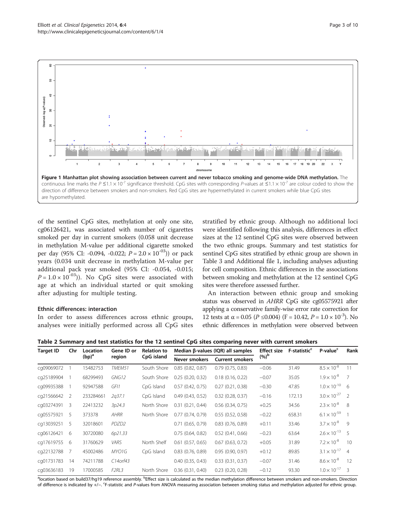<span id="page-2-0"></span>

of the sentinel CpG sites, methylation at only one site, cg06126421, was associated with number of cigarettes smoked per day in current smokers (0.058 unit decrease in methylation M-value per additional cigarette smoked per day (95% CI: -0.094, -0.022;  $P = 2.0 \times 10^{-03}$ ) or pack years (0.034 unit decrease in methylation M-value per additional pack year smoked (95% CI: -0.054, -0.015;  $P = 1.0 \times 10^{-03}$ ). No CpG sites were associated with age at which an individual started or quit smoking after adjusting for multiple testing.

#### Ethnic differences: interaction

In order to assess differences across ethnic groups, analyses were initially performed across all CpG sites stratified by ethnic group. Although no additional loci were identified following this analysis, differences in effect sizes at the 12 sentinel CpG sites were observed between the two ethnic groups. Summary and test statistics for sentinel CpG sites stratified by ethnic group are shown in Table [3](#page-3-0) and Additional file [1](#page-8-0), including analyses adjusting for cell composition. Ethnic differences in the associations between smoking and methylation at the 12 sentinel CpG sites were therefore assessed further.

An interaction between ethnic group and smoking status was observed in AHRR CpG site cg05575921 after applying a conservative family-wise error rate correction for 12 tests at  $\alpha$  = 0.05 (*P* ≤0.004) (F = 10.42, *P* = 1.0 × 10<sup>-3</sup>). No ethnic differences in methylation were observed between

Table 2 Summary and test statistics for the 12 sentinel CpG sites comparing never with current smokers

| <b>Target ID</b> | Chr           | Location<br>$(bp)^a$ | Gene ID or<br>region           | <b>Relation to</b> |                       | Median β-values (IQR) all samples | <b>Effect size</b> | F-statistic <sup>c</sup> | P-value <sup>c</sup>    | Rank            |
|------------------|---------------|----------------------|--------------------------------|--------------------|-----------------------|-----------------------------------|--------------------|--------------------------|-------------------------|-----------------|
|                  |               |                      |                                | CpG island         | Never smokers         | <b>Current smokers</b>            | $(%)^{\mathsf{b}}$ |                          |                         |                 |
| cq09069072       |               | 15482753             | TMEM51                         | South Shore        | 0.85(0.82, 0.87)      | $0.79$ $(0.75, 0.83)$             | $-0.06$            | 31.49                    | $8.5 \times 10^{-8}$    | 11              |
| cq25189904       |               | 68299493             | GNG12                          | South Shore        | 0.25(0.20, 0.32)      | $0.18$ $(0.16, 0.22)$             | $-0.07$            | 35.05                    | $1.9 \times 10^{-8}$    | $\overline{7}$  |
| cq09935388       |               | 92947588             | GF11                           | CpG Island         | $0.57$ $(0.42, 0.75)$ | 0.27(0.21, 0.38)                  | $-0.30$            | 47.85                    | $1.0 \times 10^{-10}$   | 6               |
| cq21566642       | $\mathcal{L}$ | 233284661            | 2q37.1                         | CpG Island         | 0.49(0.43, 0.52)      | $0.32$ $(0.28, 0.37)$             | $-0.16$            | 172.13                   | $3.0 \times 10^{-27}$ 2 |                 |
| cq03274391       | 3             | 22413232             | 3p24.3                         | North Shore        | 0.31(0.21, 0.44)      | $0.56$ $(0.34, 0.75)$             | $+0.25$            | 34.56                    | $2.3 \times 10^{-8}$    | 8               |
| cq05575921       | 5             | 373378               | <b>AHRR</b>                    | North Shore        | 0.77(0.74, 0.79)      | 0.55(0.52, 0.58)                  | $-0.22$            | 658.31                   | $6.1 \times 10^{-59}$   |                 |
| cq13039251       | 5             | 32018601             | PDZD <sub>2</sub>              |                    | $0.71$ $(0.65, 0.79)$ | $0.83$ $(0.76, 0.89)$             | $+0.11$            | 33.46                    | $3.7 \times 10^{-8}$    | 9               |
| cq06126421       | 6             | 30720080             | 6p21.33                        |                    | 0.75(0.64, 0.82)      | $0.52$ $(0.41, 0.66)$             | $-0.23$            | 63.64                    | $2.6 \times 10^{-13}$   | $5\overline{)}$ |
| cq17619755       | 6             | 31760629             | VARS                           | North Shelf        | $0.61$ $(0.57, 0.65)$ | $0.67$ $(0.63, 0.72)$             | $+0.05$            | 31.89                    | $7.2 \times 10^{-8}$    | 10              |
| cq22132788       | 7             | 45002486             | MYO1G                          | CpG Island         | $0.83$ (0.76, 0.89)   | 0.95(0.90, 0.97)                  | $+0.12$            | 89.85                    | $3.1 \times 10^{-17}$   | $\overline{4}$  |
| cq01731783       | 14            | 74211788             | $C14$ orf $43$                 |                    | 0.40(0.35, 0.43)      | 0.33(0.31, 0.37)                  | $-0.07$            | 31.46                    | $8.6 \times 10^{-8}$    | 12              |
| cq03636183       | 19            | 17000585             | F <sub>2</sub> RL <sub>3</sub> | North Shore        | 0.36(0.31, 0.40)      | $0.23$ $(0.20, 0.28)$             | $-0.12$            | 93.30                    | $1.0 \times 10^{-17}$   | $\mathcal{R}$   |

<sup>a</sup>location based on build37/hg19 reference assembly. <sup>b</sup>Effect size is calculated as the median methylation difference between smokers and non-smokers. Direction of difference is indicated by +/−. <sup>c</sup>F-statistic and P-values from ANOVA measuring association between smoking status and methylation adjusted for ethnic group.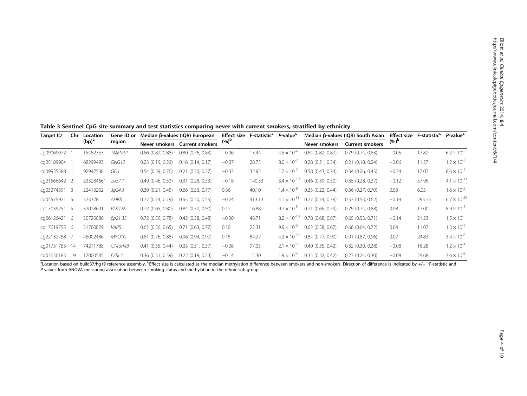| Target ID     | Chr | Location<br>$(bp)^a$ | Gene ID or<br>region           | Median β-values (IQR) European |                               |               | Effect size F-statistic <sup>c</sup> P-value <sup>c</sup> |                       | Median β-values (IQR) South Asian |                        |               | Effect size F-statistic <sup>c</sup> P-value <sup>c</sup> |                       |
|---------------|-----|----------------------|--------------------------------|--------------------------------|-------------------------------|---------------|-----------------------------------------------------------|-----------------------|-----------------------------------|------------------------|---------------|-----------------------------------------------------------|-----------------------|
|               |     |                      |                                |                                | Never smokers Current smokers | $(%)^{\rm b}$ |                                                           |                       | Never smokers                     | <b>Current smokers</b> | $(%)^{\rm b}$ |                                                           |                       |
| cq09069072    |     | 15482753             | TMEM51                         | $0.86$ $(0.82, 0.88)$          | $0.80$ $(0.76, 0.83)$         | $-0.06$       | 13.44                                                     | $4.5 \times 10^{-4}$  | $0.84$ $(0.82, 0.87)$             | 0.79(0.74, 0.83)       | $-0.05$       | 17.82                                                     | $6.2 \times 10^{-5}$  |
| cq25189904 1  |     | 68299493             | GNG12                          | $0.23$ $(0.19, 0.29)$          | 0.16(0.14, 0.17)              | $-0.07$       | 28.75                                                     | $8.0 \times 10^{-7}$  | 0.28(0.21, 0.34)                  | $0.21$ $(0.18, 0.24)$  | $-0.06$       | 11.27                                                     | $1.2 \times 10^{-3}$  |
| cq09935388    |     | 92947588             | GFI 1                          | 0.54(0.39, 0.76)               | $0.21$ $(0.20, 0.27)$         | $-0.33$       | 32.92                                                     | $1.7 \times 10^{-7}$  | 0.58(0.43, 0.74)                  | 0.34(0.26, 0.45)       | $-0.24$       | 17.07                                                     | $8.6 \times 10^{-5}$  |
| cq21566642 2  |     | 233284661            | 2a37.1                         | 0.49(0.46, 0.53)               | 0.31(0.28, 0.33)              | $-0.18$       | 140.33                                                    | $3.4 \times 10^{-19}$ | 0.46(0.39, 0.50)                  | 0.35(0.28, 0.37)       | $-0.12$       | 57.96                                                     | $4.1 \times 10^{-11}$ |
| cq03274391 3  |     | 22413232             | 3p24.3                         | 0.30(0.21, 0.45)               | $0.66$ (0.53, 0.77)           | 0.36          | 40.10                                                     | $1.4 \times 10^{-8}$  | 0.33(0.22, 0.44)                  | 0.36(0.27, 0.70)       | 0.03          | 6.05                                                      | $1.6 \times 10^{-2}$  |
| cq05575921 5  |     | 373378               | AHRR                           | 0.77(0.74, 0.79)               | $0.53$ (0.50, 0.55)           | $-0.24$       | 413.13                                                    | $4.1 \times 10^{-33}$ | 0.77(0.74, 0.79)                  | 0.57(0.53, 0.62)       | $-0.19$       | 295.15                                                    | $6.7 \times 10^{-29}$ |
| cq13039251 5  |     | 32018601             | PDZD2                          | $0.72$ (0.65, 0.80)            | 0.84(0.77, 0.90)              | 0.12          | 16.88                                                     | $9.7 \times 10^{-5}$  | 0.71(0.66, 0.79)                  | 0.79(0.74, 0.88)       | 0.08          | 17.00                                                     | $8.9 \times 10^{-5}$  |
| cq06126421 6  |     | 30720080             | 6p21.33                        | $0.72$ (0.59, 0.78)            | 0.42(0.38, 0.48)              | $-0.30$       | 48.71                                                     | $8.2 \times 10^{-10}$ | 0.78(0.68, 0.87)                  | 0.65(0.53, 0.71)       | $-0.14$       | 21.23                                                     | $1.5 \times 10^{-5}$  |
| cq17619755 6  |     | 31760629             | VARS                           | $0.61$ $(0.56, 0.65)$          | 0.71(0.63, 0.72)              | 0.10          | 22.31                                                     | $9.9 \times 10^{-6}$  | $0.62$ (0.58, 0.67)               | $0.66$ $(0.64, 0.72)$  | 0.04          | 11.07                                                     | $1.3 \times 10^{-3}$  |
| cq22132788 7  |     | 45002486             | MYO1G                          | $0.81$ $(0.76, 0.88)$          | 0.96(0.94, 0.97)              | 0.15          | 84.27                                                     | $4.3 \times 10^{-14}$ | 0.84(0.77, 0.90)                  | 0.91(0.87, 0.96)       | 0.07          | 24.83                                                     | $3.4 \times 10^{-6}$  |
| cq01731783 14 |     | 74211788             | C14orf43                       | 0.41(0.35, 0.44)               | 0.33(0.31, 0.37)              | $-0.08$       | 97.05                                                     | $2.1 \times 10^{-15}$ | 0.40(0.35, 0.42)                  | $0.32$ $(0.30, 0.38)$  | $-0.08$       | 16.28                                                     | $1.2 \times 10^{-4}$  |
| cq03636183    | -19 | 17000585             | F <sub>2</sub> RL <sub>3</sub> | 0.36(0.31, 0.39)               | 0.22(0.19, 0.23)              | $-0.14$       | 15.30                                                     | $1.9 \times 10^{-4}$  | 0.35(0.32, 0.42)                  | 0.27(0.24, 0.30)       | $-0.08$       | 24.68                                                     | $3.6 \times 10^{-6}$  |

<span id="page-3-0"></span>Table 3 Sentinel CpG site summary and test statistics comparing never with current smokers, stratified by ethnicity

aLocation based on build37/hg19 reference assembly. <sup>b</sup>Effect size is calculated as the median methylation difference between smokers and non-smokers. Direction of difference is indicated by +/−. <sup>c</sup>F-statistic and P-values from ANOVA measuring association between smoking status and methylation in the ethnic sub-group.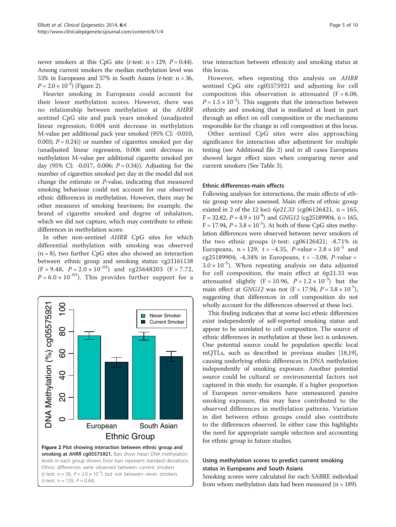never smokers at this CpG site (*t*-test:  $n = 129$ ,  $P = 0.44$ ). Among current smokers the median methylation level was 53% in Europeans and 57% in South Asians ( $t$ -test: n = 36,  $P = 2.0 \times 10^{-3}$  (Figure 2).

Heavier smoking in Europeans could account for their lower methylation scores. However, there was no relationship between methylation at the AHRR sentinel CpG site and pack years smoked (unadjusted linear regression, 0.004 unit decrease in methylation M-value per additional pack year smoked (95% CI: -0.010, 0.003;  $P = 0.24$ ) or number of cigarettes smoked per day (unadjusted linear regression, 0.006 unit decrease in methylation M-value per additional cigarette smoked per day (95% CI: -0.017, 0.006;  $P = 0.34$ ). Adjusting for the number of cigarettes smoked per day in the model did not change the estimate or P-value, indicating that measured smoking behaviour could not account for our observed ethnic differences in methylation. However, there may be other measures of smoking heaviness; for example, the brand of cigarette smoked and degree of inhalation, which we did not capture, which may contribute to ethnic differences in methylation score.

In other non-sentinel AHRR CpG sites for which differential methylation with smoking was observed  $(n = 8)$ , two further CpG sites also showed an interaction between ethnic group and smoking status: cg21161138  $(F = 9.48, P = 2.0 \times 10^{-03})$  and cg25648203 (F = 7.72,  $P = 6.0 \times 10^{-03}$ . This provides further support for a



true interaction between ethnicity and smoking status at this locus.

However, when repeating this analysis on AHRR sentinel CpG site cg05575921 and adjusting for cell composition this observation is attenuated  $(F = 6.08,$  $P = 1.5 \times 10^{-2}$ . This suggests that the interaction between ethnicity and smoking that is mediated at least in part through an effect on cell composition or the mechanisms responsible for the change in cell composition at this locus.

Other sentinel CpG sites were also approaching significance for interaction after adjustment for multiple testing (see Additional file [2\)](#page-8-0) and in all cases Europeans showed larger effect sizes when comparing never and current smokers (See Table [3\)](#page-3-0).

#### Ethnic differences-main effects

Following analyses for interactions, the main effects of ethnic group were also assessed. Main effects of ethnic group existed in 2 of the 12 loci: 6p21.33 (cg06126421, n = 165,  $F = 32.82$ ,  $P = 4.9 \times 10^{-8}$ ) and GNG12 (cg25189904, n = 165,  $F = 17.94$ ,  $P = 3.8 \times 10^{-5}$ ). At both of these CpG sites methylation differences were observed between never smokers of the two ethnic groups ( $t$ -test: cg06126421; -8.71% in Europeans, n = 129, t =  $-4.35$ , P-value =  $2.8 \times 10^{-5}$  and cg25189904; -4.34% in Europeans,  $t = -3.08$ , *P*-value =  $3.0 \times 10^{-5}$ ). When repeating analysis on data adjusted for cell composition, the main effect at 6p21.33 was attenuated slightly (F = 10.96,  $P = 1.2 \times 10^{-3}$ ) but the main effect at *GNG12* was not (F = 17.94,  $P = 3.8 \times 10^{-5}$ ), suggesting that differences in cell composition do not wholly account for the differences observed at these loci.

This finding indicates that at some loci ethnic differences exist independently of self-reported smoking status and appear to be unrelated to cell composition. The source of ethnic differences in methylation at these loci is unknown. One potential source could be population specific local mQTLs, such as described in previous studies [\[18,19](#page-9-0)], causing underlying ethnic differences in DNA methylation independently of smoking exposure. Another potential source could be cultural or environmental factors not captured in this study; for example, if a higher proportion of European never-smokers have unmeasured passive smoking exposure, this may have contributed to the observed differences in methylation patterns. Variation in diet between ethnic groups could also contribute to the differences observed. In either case this highlights the need for appropriate sample selection and accounting for ethnic group in future studies.

# Using methylation scores to predict current smoking status in Europeans and South Asians

Smoking scores were calculated for each SABRE individual from whom methylation data had been measured ( $n = 189$ ).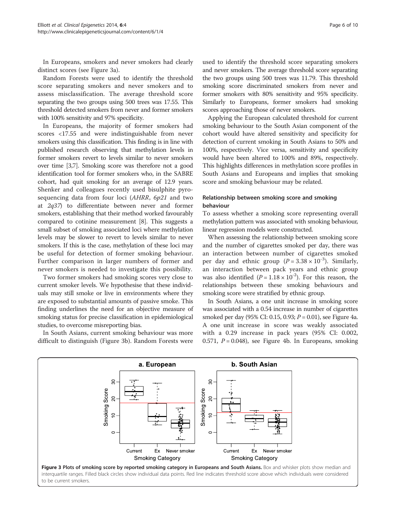In Europeans, smokers and never smokers had clearly distinct scores (see Figure 3a).

Random Forests were used to identify the threshold score separating smokers and never smokers and to assess misclassification. The average threshold score separating the two groups using 500 trees was 17.55. This threshold detected smokers from never and former smokers with 100% sensitivity and 97% specificity.

In Europeans, the majority of former smokers had scores <17.55 and were indistinguishable from never smokers using this classification. This finding is in line with published research observing that methylation levels in former smokers revert to levels similar to never smokers over time [[3,7](#page-8-0)]. Smoking score was therefore not a good identification tool for former smokers who, in the SABRE cohort, had quit smoking for an average of 12.9 years. Shenker and colleagues recently used bisulphite pyrosequencing data from four loci (AHRR, 6p21 and two at 2q37) to differentiate between never and former smokers, establishing that their method worked favourably compared to cotinine measurement [\[8](#page-8-0)]. This suggests a small subset of smoking associated loci where methylation levels may be slower to revert to levels similar to never smokers. If this is the case, methylation of these loci may be useful for detection of former smoking behaviour. Further comparison in larger numbers of former and never smokers is needed to investigate this possibility.

Two former smokers had smoking scores very close to current smoker levels. We hypothesise that these individuals may still smoke or live in environments where they are exposed to substantial amounts of passive smoke. This finding underlines the need for an objective measure of smoking status for precise classification in epidemiological studies, to overcome misreporting bias.

In South Asians, current smoking behaviour was more difficult to distinguish (Figure 3b). Random Forests were

used to identify the threshold score separating smokers and never smokers. The average threshold score separating the two groups using 500 trees was 11.79. This threshold smoking score discriminated smokers from never and former smokers with 80% sensitivity and 95% specificity. Similarly to Europeans, former smokers had smoking scores approaching those of never smokers.

Applying the European calculated threshold for current smoking behaviour to the South Asian component of the cohort would have altered sensitivity and specificity for detection of current smoking in South Asians to 50% and 100%, respectively. Vice versa, sensitivity and specificity would have been altered to 100% and 89%, respectively. This highlights differences in methylation score profiles in South Asians and Europeans and implies that smoking score and smoking behaviour may be related.

# Relationship between smoking score and smoking behaviour

To assess whether a smoking score representing overall methylation pattern was associated with smoking behaviour, linear regression models were constructed.

When assessing the relationship between smoking score and the number of cigarettes smoked per day, there was an interaction between number of cigarettes smoked per day and ethnic group  $(P = 3.38 \times 10^{-3})$ . Similarly, an interaction between pack years and ethnic group was also identified  $(P = 1.18 \times 10^{-2})$ . For this reason, the relationships between these smoking behaviours and smoking score were stratified by ethnic group.

In South Asians, a one unit increase in smoking score was associated with a 0.54 increase in number of cigarettes smoked per day (95% CI: 0.15, 0.93;  $P = 0.01$ ), see Figure [4](#page-6-0)a. A one unit increase in score was weakly associated with a 0.29 increase in pack years (95% CI: 0.002, 0.571,  $P = 0.048$ ), see Figure [4b](#page-6-0). In Europeans, smoking

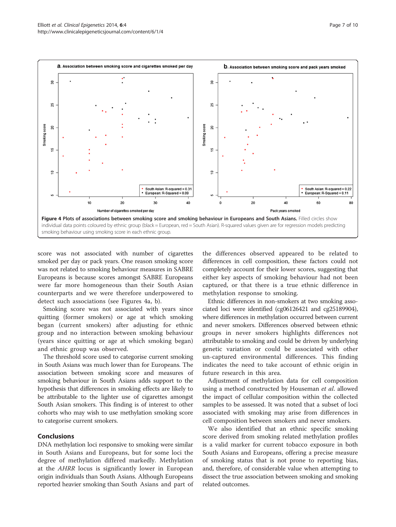<span id="page-6-0"></span>

score was not associated with number of cigarettes smoked per day or pack years. One reason smoking score was not related to smoking behaviour measures in SABRE Europeans is because scores amongst SABRE Europeans were far more homogeneous than their South Asian counterparts and we were therefore underpowered to detect such associations (see Figures 4a, b).

Smoking score was not associated with years since quitting (former smokers) or age at which smoking began (current smokers) after adjusting for ethnic group and no interaction between smoking behaviour (years since quitting or age at which smoking began) and ethnic group was observed.

The threshold score used to categorise current smoking in South Asians was much lower than for Europeans. The association between smoking score and measures of smoking behaviour in South Asians adds support to the hypothesis that differences in smoking effects are likely to be attributable to the lighter use of cigarettes amongst South Asian smokers. This finding is of interest to other cohorts who may wish to use methylation smoking score to categorise current smokers.

### Conclusions

DNA methylation loci responsive to smoking were similar in South Asians and Europeans, but for some loci the degree of methylation differed markedly. Methylation at the AHRR locus is significantly lower in European origin individuals than South Asians. Although Europeans reported heavier smoking than South Asians and part of the differences observed appeared to be related to differences in cell composition, these factors could not completely account for their lower scores, suggesting that either key aspects of smoking behaviour had not been captured, or that there is a true ethnic difference in methylation response to smoking.

Ethnic differences in non-smokers at two smoking associated loci were identified (cg06126421 and cg25189904), where differences in methylation occurred between current and never smokers. Differences observed between ethnic groups in never smokers highlights differences not attributable to smoking and could be driven by underlying genetic variation or could be associated with other un-captured environmental differences. This finding indicates the need to take account of ethnic origin in future research in this area.

Adjustment of methylation data for cell composition using a method constructed by Houseman et al. allowed the impact of cellular composition within the collected samples to be assessed. It was noted that a subset of loci associated with smoking may arise from differences in cell composition between smokers and never smokers.

We also identified that an ethnic specific smoking score derived from smoking related methylation profiles is a valid marker for current tobacco exposure in both South Asians and Europeans, offering a precise measure of smoking status that is not prone to reporting bias, and, therefore, of considerable value when attempting to dissect the true association between smoking and smoking related outcomes.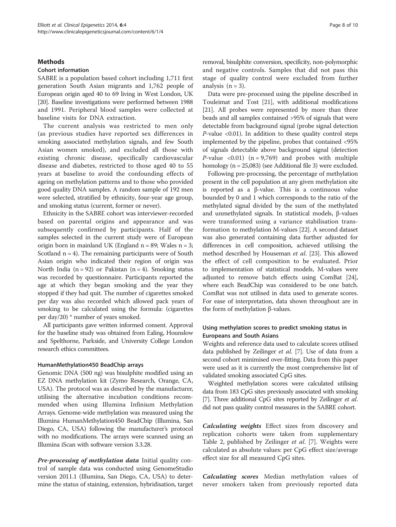### **Methods**

#### Cohort information

SABRE is a population based cohort including 1,711 first generation South Asian migrants and 1,762 people of European origin aged 40 to 69 living in West London, UK [[20](#page-9-0)]. Baseline investigations were performed between 1988 and 1991. Peripheral blood samples were collected at baseline visits for DNA extraction.

The current analysis was restricted to men only (as previous studies have reported sex differences in smoking associated methylation signals, and few South Asian women smoked), and excluded all those with existing chronic disease, specifically cardiovascular disease and diabetes, restricted to those aged 40 to 55 years at baseline to avoid the confounding effects of ageing on methylation patterns and to those who provided good quality DNA samples. A random sample of 192 men were selected, stratified by ethnicity, four-year age group, and smoking status (current, former or never).

Ethnicity in the SABRE cohort was interviewer-recorded based on parental origins and appearance and was subsequently confirmed by participants. Half of the samples selected in the current study were of European origin born in mainland UK (England  $n = 89$ ; Wales  $n = 3$ ; Scotland  $n = 4$ ). The remaining participants were of South Asian origin who indicated their region of origin was North India ( $n = 92$ ) or Pakistan ( $n = 4$ ). Smoking status was recorded by questionnaire. Participants reported the age at which they began smoking and the year they stopped if they had quit. The number of cigarettes smoked per day was also recorded which allowed pack years of smoking to be calculated using the formula: (cigarettes per day/20) \* number of years smoked.

All participants gave written informed consent. Approval for the baseline study was obtained from Ealing, Hounslow and Spelthorne, Parkside, and University College London research ethics committees.

#### HumanMethylation450 BeadChip arrays

Genomic DNA (500 ng) was bisulphite modified using an EZ DNA methylation kit (Zymo Research, Orange, CA, USA). The protocol was as described by the manufacturer, utilising the alternative incubation conditions recommended when using Illumina Infinium Methylation Arrays. Genome-wide methylation was measured using the Illumina HumanMethylation450 BeadChip (Illumina, San Diego, CA, USA) following the manufacturer's protocol with no modifications. The arrays were scanned using an Illumina iScan with software version 3.3.28.

Pre-processing of methylation data Initial quality control of sample data was conducted using GenomeStudio version 2011.1 (Illumina, San Diego, CA, USA) to determine the status of staining, extension, hybridisation, target removal, bisulphite conversion, specificity, non-polymorphic and negative controls. Samples that did not pass this stage of quality control were excluded from further analysis  $(n = 3)$ .

Data were pre-processed using the pipeline described in Touleimat and Tost [\[21\]](#page-9-0), with additional modifications [[21](#page-9-0)]. All probes were represented by more than three beads and all samples contained >95% of signals that were detectable from background signal (probe signal detection  $P$ -value <0.01). In addition to these quality control steps implemented by the pipeline, probes that contained <95% of signals detectable above background signal (detection *P*-value  $\langle 0.01 \rangle$  (n = 9,769) and probes with multiple homology (n = 25,083) (see Additional file [3\)](#page-8-0) were excluded.

Following pre-processing, the percentage of methylation present in the cell population at any given methylation site is reported as a β-value. This is a continuous value bounded by 0 and 1 which corresponds to the ratio of the methylated signal divided by the sum of the methylated and unmethylated signals. In statistical models, β-values were transformed using a variance stabilisation transformation to methylation M-values [\[22\]](#page-9-0). A second dataset was also generated containing data further adjusted for differences in cell composition, achieved utilising the method described by Houseman et al. [\[23\]](#page-9-0). This allowed the effect of cell composition to be evaluated. Prior to implementation of statistical models, M-values were adjusted to remove batch effects using ComBat [[24](#page-9-0)], where each BeadChip was considered to be one batch. ComBat was not utilised in data used to generate scores. For ease of interpretation, data shown throughout are in the form of methylation β-values.

# Using methylation scores to predict smoking status in Europeans and South Asians

Weights and reference data used to calculate scores utilised data published by Zeilinger et al. [[7\]](#page-8-0). Use of data from a second cohort minimised over-fitting. Data from this paper were used as it is currently the most comprehensive list of validated smoking associated CpG sites.

Weighted methylation scores were calculated utilising data from 183 CpG sites previously associated with smoking [[7](#page-8-0)]. Three additional CpG sites reported by Zeilinger et al. did not pass quality control measures in the SABRE cohort.

Calculating weights Effect sizes from discovery and replication cohorts were taken from supplementary Table [2,](#page-2-0) published by Zeilinger et al. [\[7](#page-8-0)]. Weights were calculated as absolute values: per CpG effect size/average effect size for all measured CpG sites.

**Calculating scores** Median methylation values of never smokers taken from previously reported data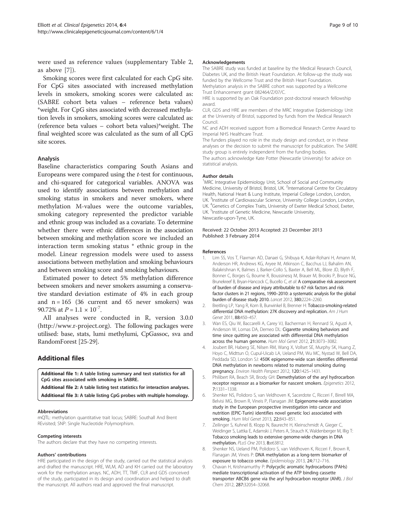<span id="page-8-0"></span>were used as reference values (supplementary Table [2](#page-2-0), as above [7]).

Smoking scores were first calculated for each CpG site. For CpG sites associated with increased methylation levels in smokers, smoking scores were calculated as: (SABRE cohort beta values – reference beta values) \*weight. For CpG sites associated with decreased methylation levels in smokers, smoking scores were calculated as: (reference beta values – cohort beta values)\*weight. The final weighted score was calculated as the sum of all CpG site scores.

#### Analysis

Baseline characteristics comparing South Asians and Europeans were compared using the t-test for continuous, and chi-squared for categorical variables. ANOVA was used to identify associations between methylation and smoking status in smokers and never smokers, where methylation M-values were the outcome variables, smoking category represented the predictor variable and ethnic group was included as a covariate. To determine whether there were ethnic differences in the association between smoking and methylation score we included an interaction term smoking status \* ethnic group in the model. Linear regression models were used to assess associations between methylation and smoking behaviours and between smoking score and smoking behaviours.

Estimated power to detect 5% methylation difference between smokers and never smokers assuming a conservative standard deviation estimate of 4% in each group and  $n = 165$  (36 current and 65 never smokers) was 90.72% at  $P = 1.1 \times 10^{-7}$ .

All analyses were conducted in R, version 3.0.0 (<http://www.r-project.org>). The following packages were utilised: base, stats, lumi methylumi, CpGassoc, sva and RandomForest [\[25-29\]](#page-9-0).

# Additional files

[Additional file 1:](http://www.biomedcentral.com/content/supplementary/1868-7083-6-4-S1.xlsx) A table listing summary and test statistics for all CpG sites associated with smoking in SABRE.

[Additional file 2:](http://www.biomedcentral.com/content/supplementary/1868-7083-6-4-S2.xlsx) A table listing test statistics for interaction analyses.

[Additional file 3:](http://www.biomedcentral.com/content/supplementary/1868-7083-6-4-S3.csv) A table listing CpG probes with multiple homology.

#### Abbreviations

mQTL: methylation quantitative trait locus; SABRE: Southall And Brent REvisited; SNP: Single Nucleotide Polymorphism.

#### Competing interests

The authors declare that they have no competing interests.

#### Authors' contributions

HRE participated in the design of the study, carried out the statistical analysis and drafted the manuscript. HRE, WLM, AD and KH carried out the laboratory work for the methylation arrays. NC, ADH, TT, TMF, CLR and GDS conceived of the study, participated in its design and coordination and helped to draft the manuscript. All authors read and approved the final manuscript.

#### Acknowledgements

The SABRE study was funded at baseline by the Medical Research Council, Diabetes UK, and the British Heart Foundation. At follow-up the study was funded by the Wellcome Trust and the British Heart Foundation. Methylation analysis in the SABRE cohort was supported by a Wellcome

Trust Enhancement grant 082464/Z/07/C.

HRE is supported by an Oak Foundation post-doctoral research fellowship award.

CLR, GDS and HRE are members of the MRC Integrative Epidemiology Unit at the University of Bristol, supported by funds from the Medical Research Council.

NC and ADH received support from a Biomedical Research Centre Award to Imperial NHS Healthcare Trust.

The funders played no role in the study design and conduct, or in these analyses or the decision to submit the manuscript for publication. The SABRE study group is entirely independent from the funding bodies. The authors acknowledge Kate Potter (Newcastle University) for advice on statistical analysis.

#### Author details

<sup>1</sup>MRC Integrative Epidemiology Unit, School of Social and Community Medicine, University of Bristol, Bristol, UK. <sup>2</sup>International Centre for Circulatory Health, National Heart & Lung Institute, Imperial College London, London, UK. <sup>3</sup>Institute of Cardiovascular Science, University College London, London, UK. <sup>4</sup>Genetics of Complex Traits, University of Exeter Medical School, Exeter, UK. <sup>5</sup>Institute of Genetic Medicine, Newcastle University Newcastle-upon-Tyne, UK.

#### Received: 22 October 2013 Accepted: 23 December 2013 Published: 3 February 2014

#### References

- 1. Lim SS, Vos T, Flaxman AD, Danaei G, Shibuya K, Adair-Rohani H, Amann M, Anderson HR, Andrews KG, Aryee M, Atkinson C, Bacchus LJ, Bahalim AN, Balakrishnan K, Balmes J, Barker-Collo S, Baxter A, Bell ML, Blore JD, Blyth F, Bonner C, Borges G, Bourne R, Boussinesq M, Brauer M, Brooks P, Bruce NG, Brunekreef B, Bryan-Hancock C, Bucello C, et al: A comparative risk assessment of burden of disease and injury attributable to 67 risk factors and risk factor clusters in 21 regions, 1990–2010: a systematic analysis for the global burden of disease study 2010. Lancet 2012, 380:2224–2260.
- 2. Breitling LP, Yang R, Korn B, Burwinkel B, Brenner H: Tobacco-smoking-related differential DNA methylation: 27K discovery and replication. Am J Hum Genet 2011, 88:450-457.
- 3. Wan ES, Qiu W, Baccarelli A, Carey VJ, Bacherman H, Rennard SI, Agusti A, Anderson W, Lomas DA, Demeo DL: Cigarette smoking behaviors and time since quitting are associated with differential DNA methylation across the human genome. Hum Mol Genet 2012, 21:3073–3082.
- 4. Joubert BR, Haberg SE, Nilsen RM, Wang X, Vollset SE, Murphy SK, Huang Z, Hoyo C, Midttun O, Cupul-Uicab LA, Ueland PM, Wu MC, Nystad W, Bell DA, Peddada SD, London SJ: 450K epigenome-wide scan identifies differential DNA methylation in newborns related to maternal smoking during pregnancy. Environ Health Perspect 2012, 120:1425–1431.
- 5. Philibert RA, Beach SR, Brody GH: Demethylation of the aryl hydrocarbon receptor repressor as a biomarker for nascent smokers. Epigenetics 2012, 7:1331–1338.
- 6. Shenker NS, Polidoro S, van Veldhoven K, Sacerdote C, Ricceri F, Birrell MA, Belvisi MG, Brown R, Vineis P, Flanagan JM: Epigenome-wide association study in the European prospective investigation into cancer and nutrition (EPIC-Turin) identifies novel genetic loci associated with smoking. Hum Mol Genet 2013, 22:843–851.
- 7. Zeilinger S, Kuhnel B, Klopp N, Baurecht H, Kleinschmidt A, Gieger C, Weidinger S, Lattka E, Adamski J, Peters A, Strauch K, Waldenberger M, Illig T: Tobacco smoking leads to extensive genome-wide changes in DNA methylation. PLoS One 2013, 8:e63812.
- 8. Shenker NS, Ueland PM, Polidoro S, van Veldhoven K, Ricceri F, Brown R, Flanagan JM, Vineis P: DNA methylation as a long-term biomarker of exposure to tobacco smoke. Epidemiology 2013, 24:712-716.
- 9. Chavan H, Krishnamurthy P: Polycyclic aromatic hydrocarbons (PAHs) mediate transcriptional activation of the ATP binding cassette transporter ABCB6 gene via the aryl hydrocarbon receptor (AhR). J Biol Chem 2012, 287:32054–32068.